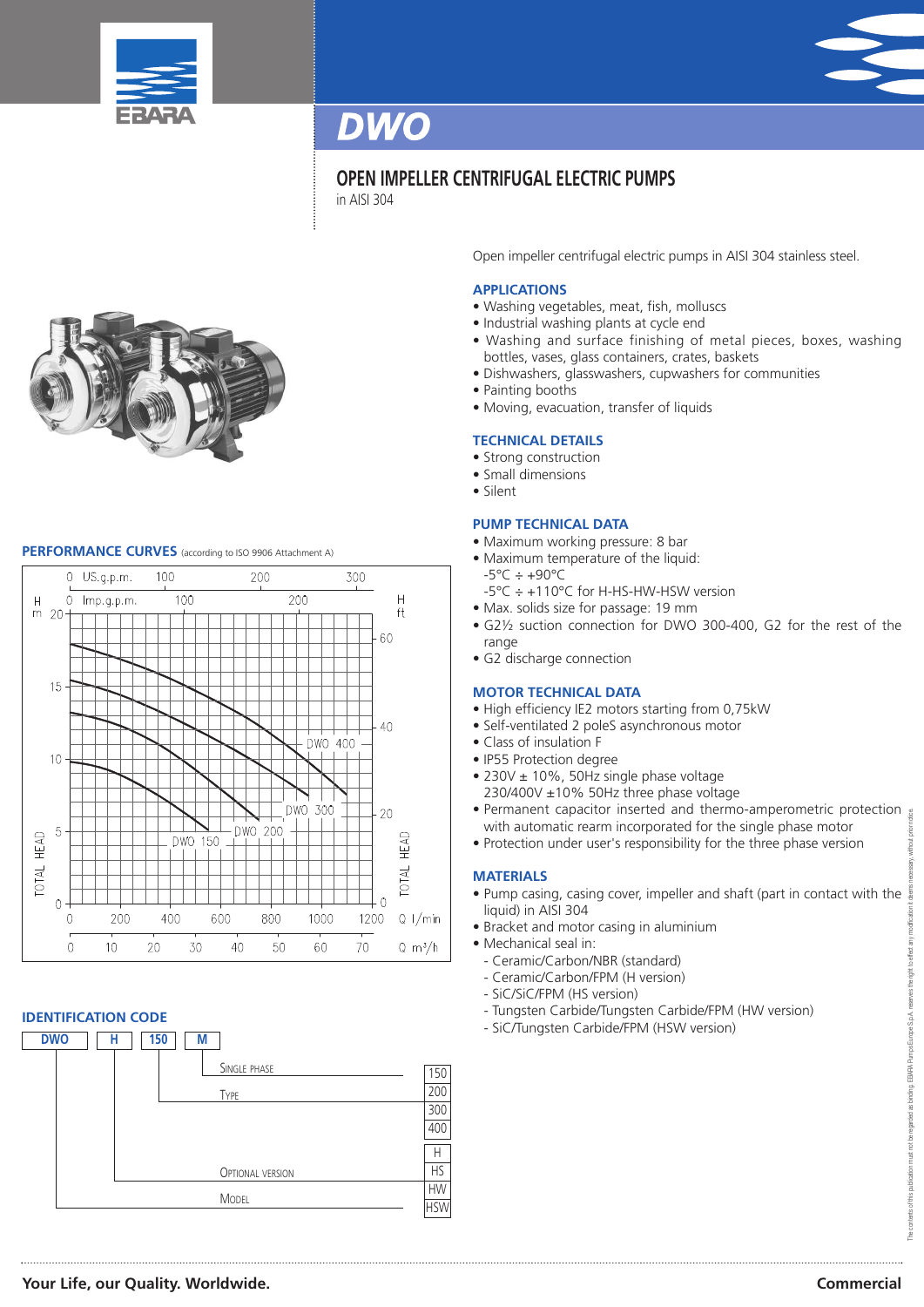



# **OPEN IMPELLER CENTRIFUGAL ELECTRIC PUMPS**

in AISI 304



## **PERFORMANCE CURVES** (according to ISO <sup>9906</sup> Attachment A)



### **IDENTIFICATION CODE**



Open impeller centrifugal electric pumps in AISI 304 stainless steel.

### **APPLICATIONS**

- Washing vegetables, meat, fish, molluscs
- Industrial washing plants at cycle end
- Washing and surface finishing of metal pieces, boxes, washing bottles, vases, glass containers, crates, baskets
- Dishwashers, glasswashers, cupwashers for communities
- Painting booths
- Moving, evacuation, transfer of liquids

### **TECHNICAL DETAILS**

- Strong construction
- Small dimensions
- Silent

#### **PUMP TECHNICAL DATA**

- Maximum working pressure: 8 bar
- Maximum temperature of the liquid:
	- $-5^{\circ}$ C  $\div$  +90 $^{\circ}$ C
	- -5°C ÷ +110°C for H-HS-HW-HSW version
- Max. solids size for passage: 19 mm
- G2½ suction connection for DWO 300-400, G2 for the rest of the range
- G2 discharge connection

#### **MOTOR TECHNICAL DATA**

- High efficiency IE2 motors starting from 0,75kW
- Self-ventilated 2 poleS asynchronous motor
- Class of insulation F
- IP55 Protection degree
- 230V ± 10%, 50Hz single phase voltage
- 230/400V ±10% 50Hz three phase voltage
- Permanent capacitor inserted and thermo-amperometric protection with automatic rearm incorporated for the single phase motor
- Protection under user's responsibility for the three phase version

#### **MATERIALS**

- Pump casing, casing cover, impeller and shaft (part in contact with the liquid) in AISI 304
- Bracket and motor casing in aluminium
- Mechanical seal in:
- Ceramic/Carbon/NBR (standard)
- Ceramic/Carbon/FPM (H version)
- SiC/SiC/FPM (HS version)
- Tungsten Carbide/Tungsten Carbide/FPM (HW version)
- SiC/Tungsten Carbide/FPM (HSW version)